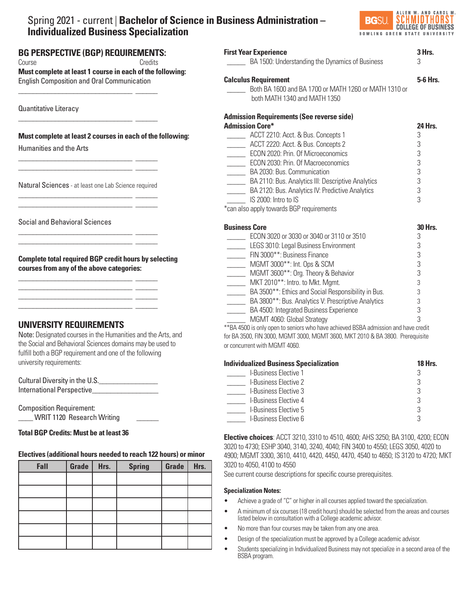# Spring 2021 - current | **Bachelor of Science in Business Administration – Individualized Business Specialization**



| <b>First Year Experience</b>                                | 3 Hrs.         |
|-------------------------------------------------------------|----------------|
| BA 1500: Understanding the Dynamics of Business             | 3              |
| <b>Calculus Requirement</b>                                 | 5-6 Hrs.       |
| Both BA 1600 and BA 1700 or MATH 1260 or MATH 1310 or       |                |
| both MATH 1340 and MATH 1350                                |                |
| <b>Admission Requirements (See reverse side)</b>            |                |
| <b>Admission Core*</b>                                      | 24 Hrs.        |
| ACCT 2210: Acct. & Bus. Concepts 1                          | 3              |
| _______ ACCT 2220: Acct. & Bus. Concepts 2                  | 3              |
| ECON 2020: Prin. Of Microeconomics                          | 3              |
| <b>ECON 2030: Prin. Of Macroeconomics</b>                   | 3              |
| BA 2030: Bus. Communication                                 | 3              |
| BA 2110: Bus. Analytics III: Descriptive Analytics          | 3              |
| BA 2120: Bus. Analytics IV: Predictive Analytics            | 3              |
| IS 2000: Intro to IS                                        | 3              |
| *can also apply towards BGP requirements                    |                |
| <b>Business Core</b>                                        | <b>30 Hrs.</b> |
| ECON 3020 or 3030 or 3040 or 3110 or 3510                   | 3              |
| LEGS 3010: Legal Business Environment                       | 3              |
| FIN 3000**: Business Finance                                | 3              |
| MGMT 3000**: Int. Ops & SCM                                 | 3              |
| MGMT 3600**: Org. Theory & Behavior                         | 3              |
| MKT 2010 <sup>**</sup> : Intro. to Mkt. Mgmt.               | 3              |
| BA 3500**: Ethics and Social Responsibility in Bus.         | 3              |
| _______ BA 3800**: Bus. Analytics V: Prescriptive Analytics | 3              |
| BA 4500: Integrated Business Experience                     | 3              |
| MGMT 4060: Global Strategy                                  | 3              |

\*\*BA 4500 is only open to seniors who have achieved BSBA admission and have credit for BA 3500, FIN 3000, MGMT 3000, MGMT 3600, MKT 2010 & BA 3800. Prerequisite or concurrent with MGMT 4060.

| <b>Individualized Business Specialization</b> | <b>18 Hrs.</b> |  |
|-----------------------------------------------|----------------|--|
| <b>I-Business Elective 1</b>                  |                |  |
| <b>I-Business Elective 2</b>                  |                |  |
| <b>I-Business Elective 3</b>                  | R              |  |
| <b>I-Business Elective 4</b>                  |                |  |
| <b>I-Business Elective 5</b>                  |                |  |
| I-Business Elective 6                         | ₽              |  |

**Elective choices**: ACCT 3210, 3310 to 4510, 4600; AHS 3250; BA 3100, 4200; ECON 3020 to 4730; ESHP 3040, 3140, 3240, 4040; FIN 3400 to 4550; LEGS 3050, 4020 to 4900; MGMT 3300, 3610, 4410, 4420, 4450, 4470, 4540 to 4650; IS 3120 to 4720; MKT 3020 to 4050, 4100 to 4550

See current course descriptions for specific course prerequisites.

#### **Specialization Notes:**

- Achieve a grade of "C" or higher in all courses applied toward the specialization.
- A minimum of six courses (18 credit hours) should be selected from the areas and courses listed below in consultation with a College academic advisor.
- No more than four courses may be taken from any one area.
- Design of the specialization must be approved by a College academic advisor.
- Students specializing in Individualized Business may not specialize in a second area of the BSBA program.

**BG PERSPECTIVE (BGP) REQUIREMENTS:**  Course **Course** Credits

\_\_\_\_\_\_\_\_\_\_\_\_\_\_\_\_\_\_\_\_\_\_\_\_\_\_\_\_\_\_\_ \_\_\_\_\_\_

\_\_\_\_\_\_\_\_\_\_\_\_\_\_\_\_\_\_\_\_\_\_\_\_\_\_\_\_\_\_\_ \_\_\_\_\_\_

**Must complete at least 1 course in each of the following:**  English Composition and Oral Communication

Quantitative Literacy

## **Must complete at least 2 courses in each of the following:**

Humanities and the Arts

Natural Sciences - at least one Lab Science required \_\_\_\_\_\_\_\_\_\_\_\_\_\_\_\_\_\_\_\_\_\_\_\_\_\_\_\_\_\_\_ \_\_\_\_\_\_

\_\_\_\_\_\_\_\_\_\_\_\_\_\_\_\_\_\_\_\_\_\_\_\_\_\_\_\_\_\_\_ \_\_\_\_\_\_

\_\_\_\_\_\_\_\_\_\_\_\_\_\_\_\_\_\_\_\_\_\_\_\_\_\_\_\_\_\_\_ \_\_\_\_\_\_ \_\_\_\_\_\_\_\_\_\_\_\_\_\_\_\_\_\_\_\_\_\_\_\_\_\_\_\_\_\_\_ \_\_\_\_\_\_

\_\_\_\_\_\_\_\_\_\_\_\_\_\_\_\_\_\_\_\_\_\_\_\_\_\_\_\_\_\_\_ \_\_\_\_\_\_ \_\_\_\_\_\_\_\_\_\_\_\_\_\_\_\_\_\_\_\_\_\_\_\_\_\_\_\_\_\_\_ \_\_\_\_\_\_ \_\_\_\_\_\_\_\_\_\_\_\_\_\_\_\_\_\_\_\_\_\_\_\_\_\_\_\_\_\_\_ \_\_\_\_\_\_ \_\_\_\_\_\_\_\_\_\_\_\_\_\_\_\_\_\_\_\_\_\_\_\_\_\_\_\_\_\_\_ \_\_\_\_\_\_

\_\_\_\_\_\_\_\_\_\_\_\_\_\_\_\_\_\_\_\_\_\_\_\_\_\_\_\_\_\_\_ \_\_\_\_\_\_ \_\_\_\_\_\_\_\_\_\_\_\_\_\_\_\_\_\_\_\_\_\_\_\_\_\_\_\_\_\_\_ \_\_\_\_\_\_

Social and Behavioral Sciences

**Complete total required BGP credit hours by selecting courses from any of the above categories:**

# **UNIVERSITY REQUIREMENTS**

Note: Designated courses in the Humanities and the Arts, and the Social and Behavioral Sciences domains may be used to fulfill both a BGP requirement and one of the following university requirements:

Cultural Diversity in the U.S.\_\_\_\_\_\_\_\_\_\_\_\_\_\_\_\_ International Perspective

Composition Requirement: \_\_\_\_ WRIT 1120 Research Writing \_\_\_\_\_\_

#### $\overline{a}$ **Total BGP Credits: Must be at least 36**

## **Electives (additional hours needed to reach 122 hours) or minor**

| Fall | Grade | Hrs. | <b>Spring</b> | Grade | Hrs. |
|------|-------|------|---------------|-------|------|
|      |       |      |               |       |      |
|      |       |      |               |       |      |
|      |       |      |               |       |      |
|      |       |      |               |       |      |
|      |       |      |               |       |      |
|      |       |      |               |       |      |